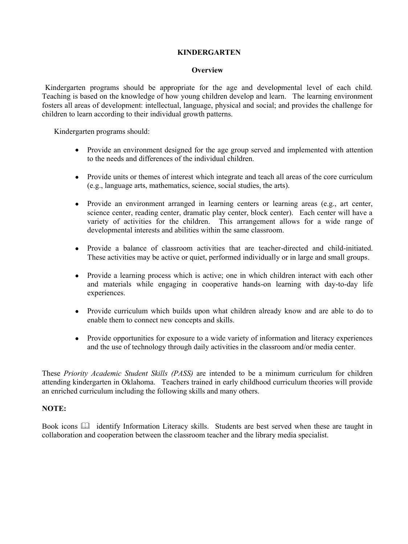# **KINDERGARTEN**

#### **Overview**

Kindergarten programs should be appropriate for the age and developmental level of each child. Teaching is based on the knowledge of how young children develop and learn. The learning environment fosters all areas of development: intellectual, language, physical and social; and provides the challenge for children to learn according to their individual growth patterns.

Kindergarten programs should:

- Provide an environment designed for the age group served and implemented with attention to the needs and differences of the individual children.
- Provide units or themes of interest which integrate and teach all areas of the core curriculum (e.g., language arts, mathematics, science, social studies, the arts).
- Provide an environment arranged in learning centers or learning areas (e.g., art center, science center, reading center, dramatic play center, block center). Each center will have a variety of activities for the children. This arrangement allows for a wide range of developmental interests and abilities within the same classroom.
- Provide a balance of classroom activities that are teacher-directed and child-initiated. These activities may be active or quiet, performed individually or in large and small groups.
- Provide a learning process which is active; one in which children interact with each other  $\bullet$ and materials while engaging in cooperative hands-on learning with day-to-day life experiences.
- Provide curriculum which builds upon what children already know and are able to do to enable them to connect new concepts and skills.
- Provide opportunities for exposure to a wide variety of information and literacy experiences and the use of technology through daily activities in the classroom and/or media center.

These *Priority Academic Student Skills (PASS)* are intended to be a minimum curriculum for children attending kindergarten in Oklahoma. Teachers trained in early childhood curriculum theories will provide an enriched curriculum including the following skills and many others.

# **NOTE:**

Book icons **in identify Information Literacy skills.** Students are best served when these are taught in collaboration and cooperation between the classroom teacher and the library media specialist.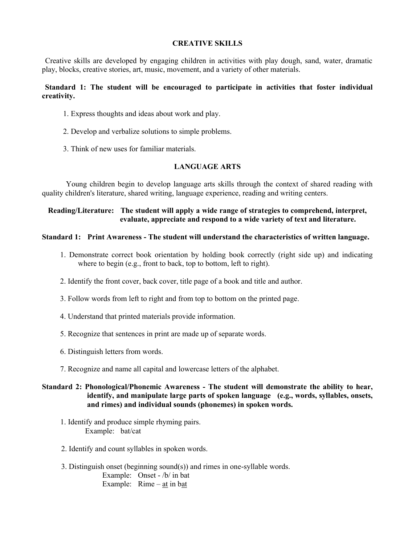# **CREATIVE SKILLS**

Creative skills are developed by engaging children in activities with play dough, sand, water, dramatic play, blocks, creative stories, art, music, movement, and a variety of other materials.

# **Standard 1: The student will be encouraged to participate in activities that foster individual creativity.**

- 1. Express thoughts and ideas about work and play.
- 2. Develop and verbalize solutions to simple problems.
- 3. Think of new uses for familiar materials.

# **LANGUAGE ARTS**

Young children begin to develop language arts skills through the context of shared reading with quality children's literature, shared writing, language experience, reading and writing centers.

# **Reading/Literature: The student will apply a wide range of strategies to comprehend, interpret, evaluate, appreciate and respond to a wide variety of text and literature.**

# **Standard 1: Print Awareness - The student will understand the characteristics of written language.**

- 1. Demonstrate correct book orientation by holding book correctly (right side up) and indicating where to begin (e.g., front to back, top to bottom, left to right).
- 2. Identify the front cover, back cover, title page of a book and title and author.
- 3. Follow words from left to right and from top to bottom on the printed page.
- 4. Understand that printed materials provide information.
- 5. Recognize that sentences in print are made up of separate words.
- 6. Distinguish letters from words.
- 7. Recognize and name all capital and lowercase letters of the alphabet.

# **Standard 2: Phonological/Phonemic Awareness - The student will demonstrate the ability to hear, identify, and manipulate large parts of spoken language (e.g., words, syllables, onsets, and rimes) and individual sounds (phonemes) in spoken words.**

- 1. Identify and produce simple rhyming pairs. Example: bat/cat
- 2. Identify and count syllables in spoken words.
- 3. Distinguish onset (beginning sound(s)) and rimes in one-syllable words. Example: Onset - /b/ in bat Example: Rime  $-\underline{at}$  in bat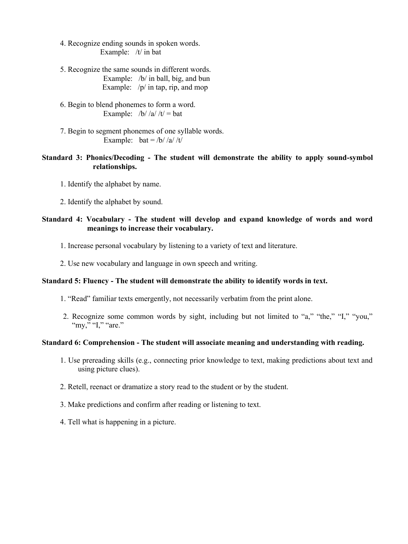- 4. Recognize ending sounds in spoken words. Example: /t/ in bat
- 5. Recognize the same sounds in different words. Example: /b/ in ball, big, and bun Example:  $/p/$  in tap, rip, and mop
- 6. Begin to blend phonemes to form a word. Example:  $/b/|a|/t| = bat$
- 7. Begin to segment phonemes of one syllable words. Example:  $bat = /b/ /a/ /t/$

## **Standard 3: Phonics/Decoding - The student will demonstrate the ability to apply sound-symbol relationships.**

- 1. Identify the alphabet by name.
- 2. Identify the alphabet by sound.

# **Standard 4: Vocabulary - The student will develop and expand knowledge of words and word meanings to increase their vocabulary.**

1. Increase personal vocabulary by listening to a variety of text and literature.

2. Use new vocabulary and language in own speech and writing.

### **Standard 5: Fluency - The student will demonstrate the ability to identify words in text.**

1. "Read" familiar texts emergently, not necessarily verbatim from the print alone.

2. Recognize some common words by sight, including but not limited to "a," "the," "I," "you," "my," "I," "are."

#### **Standard 6: Comprehension - The student will associate meaning and understanding with reading.**

- 1. Use prereading skills (e.g., connecting prior knowledge to text, making predictions about text and using picture clues).
- 2. Retell, reenact or dramatize a story read to the student or by the student.
- 3. Make predictions and confirm after reading or listening to text.
- 4. Tell what is happening in a picture.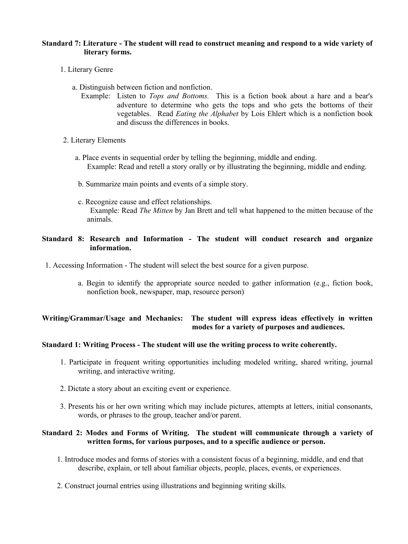## **Standard 7: Literature - The student will read to construct meaning and respond to a wide variety of literary forms.**

- 1. Literary Genre
	- a. Distinguish between fiction and nonfiction.
		- Example: Listen to *Tops and Bottoms.* This is a fiction book about a hare and a bear's adventure to determine who gets the tops and who gets the bottoms of their vegetables. Read *Eating the Alphabet* by Lois Ehlert which is a nonfiction book and discuss the differences in books.
- 2. Literary Elements
	- a. Place events in sequential order by telling the beginning, middle and ending. Example: Read and retell a story orally or by illustrating the beginning, middle and ending.
	- b. Summarize main points and events of a simple story.
	- c. Recognize cause and effect relationships. Example: Read *The Mitten* by Jan Brett and tell what happened to the mitten because of the animals.

# **Standard 8: Research and Information - The student will conduct research and organize information.**

1. Accessing Information - The student will select the best source for a given purpose.

a. Begin to identify the appropriate source needed to gather information (e.g., fiction book, nonfiction book, newspaper, map, resource person)

# **Writing/Grammar/Usage and Mechanics: The student will express ideas effectively in written modes for a variety of purposes and audiences.**

### **Standard 1: Writing Process - The student will use the writing process to write coherently.**

- 1. Participate in frequent writing opportunities including modeled writing, shared writing, journal writing, and interactive writing.
- 2. Dictate a story about an exciting event or experience.
- 3. Presents his or her own writing which may include pictures, attempts at letters, initial consonants, words, or phrases to the group, teacher and/or parent.

### **Standard 2: Modes and Forms of Writing. The student will communicate through a variety of written forms, for various purposes, and to a specific audience or person.**

- 1. Introduce modes and forms of stories with a consistent focus of a beginning, middle, and end that describe, explain, or tell about familiar objects, people, places, events, or experiences.
- 2. Construct journal entries using illustrations and beginning writing skills.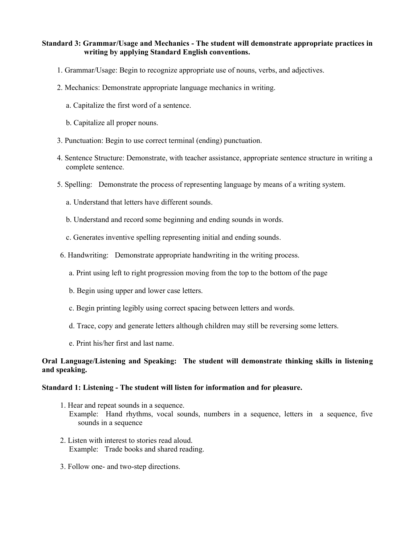# **Standard 3: Grammar/Usage and Mechanics - The student will demonstrate appropriate practices in writing by applying Standard English conventions.**

- 1. Grammar/Usage: Begin to recognize appropriate use of nouns, verbs, and adjectives.
- 2. Mechanics: Demonstrate appropriate language mechanics in writing.
	- a. Capitalize the first word of a sentence.
	- b. Capitalize all proper nouns.
- 3. Punctuation: Begin to use correct terminal (ending) punctuation.
- 4. Sentence Structure: Demonstrate, with teacher assistance, appropriate sentence structure in writing a complete sentence.
- 5. Spelling: Demonstrate the process of representing language by means of a writing system.
	- a. Understand that letters have different sounds.
	- b. Understand and record some beginning and ending sounds in words.
	- c. Generates inventive spelling representing initial and ending sounds.
- 6. Handwriting: Demonstrate appropriate handwriting in the writing process.
	- a. Print using left to right progression moving from the top to the bottom of the page
	- b. Begin using upper and lower case letters.
	- c. Begin printing legibly using correct spacing between letters and words.
	- d. Trace, copy and generate letters although children may still be reversing some letters.
	- e. Print his/her first and last name.

# **Oral Language/Listening and Speaking: The student will demonstrate thinking skills in listening and speaking.**

### **Standard 1: Listening - The student will listen for information and for pleasure.**

- 1. Hear and repeat sounds in a sequence. Example: Hand rhythms, vocal sounds, numbers in a sequence, letters in a sequence, five sounds in a sequence
- 2. Listen with interest to stories read aloud. Example: Trade books and shared reading.
- 3. Follow one- and two-step directions.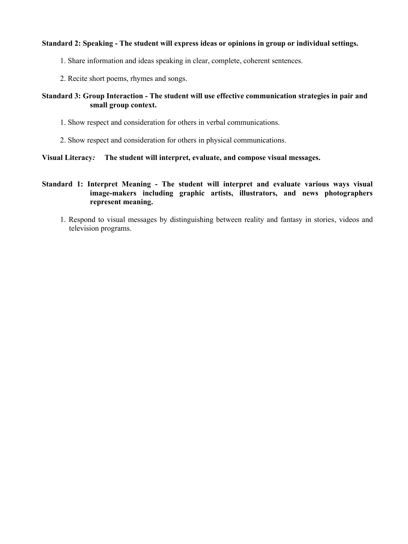# **Standard 2: Speaking - The student will express ideas or opinions in group or individual settings.**

- 1. Share information and ideas speaking in clear, complete, coherent sentences.
- 2. Recite short poems, rhymes and songs.

# **Standard 3: Group Interaction - The student will use effective communication strategies in pair and small group context.**

- 1. Show respect and consideration for others in verbal communications.
- 2. Show respect and consideration for others in physical communications.

# **Visual Literacy***:* **The student will interpret, evaluate, and compose visual messages.**

# **Standard 1: Interpret Meaning - The student will interpret and evaluate various ways visual image-makers including graphic artists, illustrators, and news photographers represent meaning.**

1. Respond to visual messages by distinguishing between reality and fantasy in stories, videos and television programs.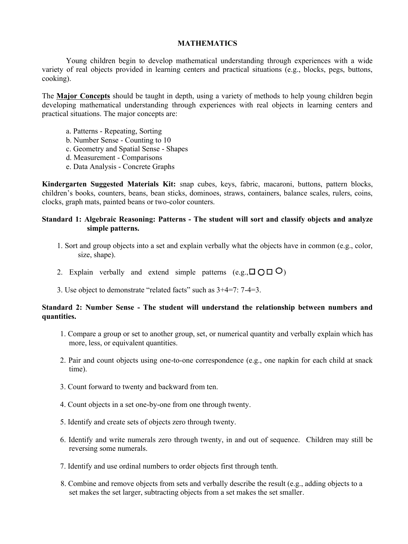### **MATHEMATICS**

Young children begin to develop mathematical understanding through experiences with a wide variety of real objects provided in learning centers and practical situations (e.g., blocks, pegs, buttons, cooking).

The **Major Concepts** should be taught in depth, using a variety of methods to help young children begin developing mathematical understanding through experiences with real objects in learning centers and practical situations. The major concepts are:

- a. Patterns Repeating, Sorting
- b. Number Sense Counting to 10
- c. Geometry and Spatial Sense Shapes
- d. Measurement Comparisons
- e. Data Analysis Concrete Graphs

**Kindergarten Suggested Materials Kit:** snap cubes, keys, fabric, macaroni, buttons, pattern blocks, children's books, counters, beans, bean sticks, dominoes, straws, containers, balance scales, rulers, coins, clocks, graph mats, painted beans or two-color counters.

#### **Standard 1: Algebraic Reasoning: Patterns - The student will sort and classify objects and analyze simple patterns.**

- 1. Sort and group objects into a set and explain verbally what the objects have in common (e.g., color, size, shape).
- 2. Explain verbally and extend simple patterns (e.g.,  $\Box$   $\Box$   $\Box$ )
- 3. Use object to demonstrate "related facts" such as  $3+4=7: 7-4=3$ .

### **Standard 2: Number Sense - The student will understand the relationship between numbers and quantities.**

- 1. Compare a group or set to another group, set, or numerical quantity and verbally explain which has more, less, or equivalent quantities.
- 2. Pair and count objects using one-to-one correspondence (e.g., one napkin for each child at snack time).
- 3. Count forward to twenty and backward from ten.
- 4. Count objects in a set one-by-one from one through twenty.
- 5. Identify and create sets of objects zero through twenty.
- 6. Identify and write numerals zero through twenty, in and out of sequence. Children may still be reversing some numerals.
- 7. Identify and use ordinal numbers to order objects first through tenth.
- 8. Combine and remove objects from sets and verbally describe the result (e.g., adding objects to a set makes the set larger, subtracting objects from a set makes the set smaller.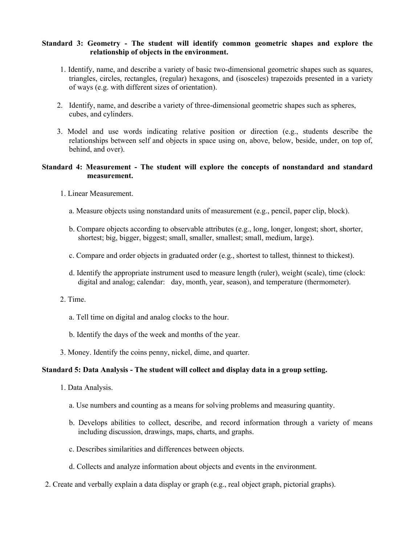## **Standard 3: Geometry - The student will identify common geometric shapes and explore the relationship of objects in the environment.**

- 1. Identify, name, and describe a variety of basic two-dimensional geometric shapes such as squares, triangles, circles, rectangles, (regular) hexagons, and (isosceles) trapezoids presented in a variety of ways (e.g. with different sizes of orientation).
- 2. Identify, name, and describe a variety of three-dimensional geometric shapes such as spheres, cubes, and cylinders.
- 3. Model and use words indicating relative position or direction (e.g., students describe the relationships between self and objects in space using on, above, below, beside, under, on top of, behind, and over).

# **Standard 4: Measurement - The student will explore the concepts of nonstandard and standard measurement.**

- 1. Linear Measurement.
	- a. Measure objects using nonstandard units of measurement (e.g., pencil, paper clip, block).
	- b. Compare objects according to observable attributes (e.g., long, longer, longest; short, shorter, shortest; big, bigger, biggest; small, smaller, smallest; small, medium, large).
	- c. Compare and order objects in graduated order (e.g., shortest to tallest, thinnest to thickest).
	- d. Identify the appropriate instrument used to measure length (ruler), weight (scale), time (clock: digital and analog; calendar: day, month, year, season), and temperature (thermometer).
- 2. Time.
	- a. Tell time on digital and analog clocks to the hour.
	- b. Identify the days of the week and months of the year.
- 3. Money. Identify the coins penny, nickel, dime, and quarter.

# **Standard 5: Data Analysis - The student will collect and display data in a group setting.**

- 1. Data Analysis.
	- a. Use numbers and counting as a means for solving problems and measuring quantity.
	- b. Develops abilities to collect, describe, and record information through a variety of means including discussion, drawings, maps, charts, and graphs.
	- c. Describes similarities and differences between objects.
	- d. Collects and analyze information about objects and events in the environment.
- 2. Create and verbally explain a data display or graph (e.g., real object graph, pictorial graphs).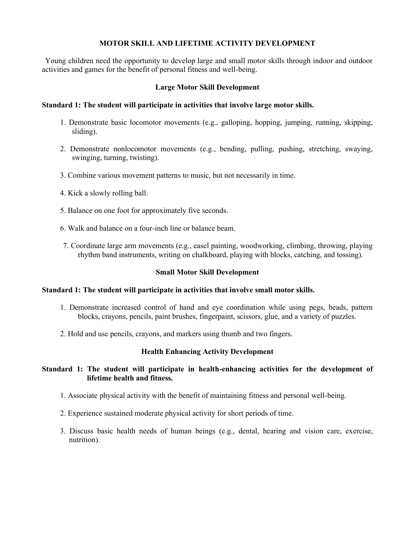# **MOTOR SKILL AND LIFETIME ACTIVITY DEVELOPMENT**

Young children need the opportunity to develop large and small motor skills through indoor and outdoor activities and games for the benefit of personal fitness and well-being.

### **Large Motor Skill Development**

#### **Standard 1: The student will participate in activities that involve large motor skills.**

- 1. Demonstrate basic locomotor movements (e.g., galloping, hopping, jumping, running, skipping, sliding).
- 2. Demonstrate nonlocomotor movements (e.g., bending, pulling, pushing, stretching, swaying, swinging, turning, twisting).
- 3. Combine various movement patterns to music, but not necessarily in time.
- 4. Kick a slowly rolling ball.
- 5. Balance on one foot for approximately five seconds.
- 6. Walk and balance on a four-inch line or balance beam.
- 7. Coordinate large arm movements (e.g., easel painting, woodworking, climbing, throwing, playing rhythm band instruments, writing on chalkboard, playing with blocks, catching, and tossing).

#### **Small Motor Skill Development**

#### **Standard 1: The student will participate in activities that involve small motor skills.**

- 1. Demonstrate increased control of hand and eye coordination while using pegs, beads, pattern blocks, crayons, pencils, paint brushes, fingerpaint, scissors, glue, and a variety of puzzles.
- 2. Hold and use pencils, crayons, and markers using thumb and two fingers.

#### **Health Enhancing Activity Development**

### **Standard 1: The student will participate in health-enhancing activities for the development of lifetime health and fitness.**

- 1. Associate physical activity with the benefit of maintaining fitness and personal well-being.
- 2. Experience sustained moderate physical activity for short periods of time.
- 3. Discuss basic health needs of human beings (e.g., dental, hearing and vision care, exercise, nutrition).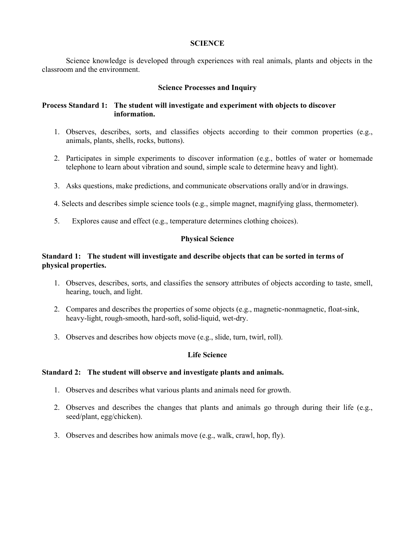## **SCIENCE**

Science knowledge is developed through experiences with real animals, plants and objects in the classroom and the environment.

#### **Science Processes and Inquiry**

# **Process Standard 1: The student will investigate and experiment with objects to discover information.**

- 1. Observes, describes, sorts, and classifies objects according to their common properties (e.g., animals, plants, shells, rocks, buttons).
- 2. Participates in simple experiments to discover information (e.g., bottles of water or homemade telephone to learn about vibration and sound, simple scale to determine heavy and light).
- 3. Asks questions, make predictions, and communicate observations orally and/or in drawings.
- 4. Selects and describes simple science tools (e.g., simple magnet, magnifying glass, thermometer).
- 5. Explores cause and effect (e.g., temperature determines clothing choices).

# **Physical Science**

## **Standard 1: The student will investigate and describe objects that can be sorted in terms of physical properties.**

- 1. Observes, describes, sorts, and classifies the sensory attributes of objects according to taste, smell, hearing, touch, and light.
- 2. Compares and describes the properties of some objects (e.g., magnetic-nonmagnetic, float-sink, heavy-light, rough-smooth, hard-soft, solid-liquid, wet-dry.
- 3. Observes and describes how objects move (e.g., slide, turn, twirl, roll).

### **Life Science**

### **Standard 2: The student will observe and investigate plants and animals.**

- 1. Observes and describes what various plants and animals need for growth.
- 2. Observes and describes the changes that plants and animals go through during their life (e.g., seed/plant, egg/chicken).
- 3. Observes and describes how animals move (e.g., walk, crawl, hop, fly).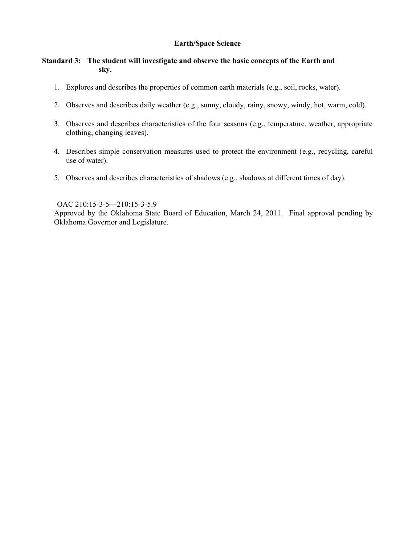# **Earth/Space Science**

# **Standard 3: The student will investigate and observe the basic concepts of the Earth and sky.**

- 1. Explores and describes the properties of common earth materials (e.g., soil, rocks, water).
- 2. Observes and describes daily weather (e.g., sunny, cloudy, rainy, snowy, windy, hot, warm, cold).
- 3. Observes and describes characteristics of the four seasons (e.g., temperature, weather, appropriate clothing, changing leaves).
- 4. Describes simple conservation measures used to protect the environment (e.g., recycling, careful use of water).
- 5. Observes and describes characteristics of shadows (e.g., shadows at different times of day).

### OAC 210:15-3-5—210:15-3-5.9

Approved by the Oklahoma State Board of Education, March 24, 2011. Final approval pending by Oklahoma Governor and Legislature.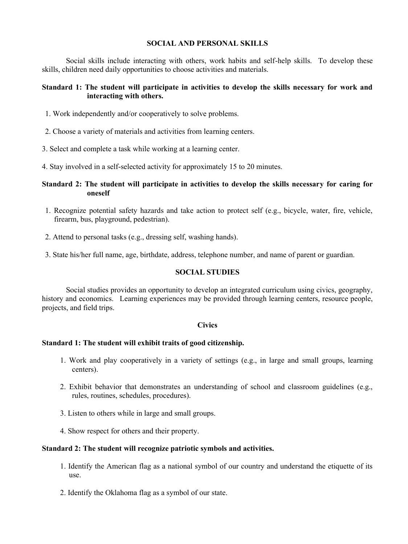#### **SOCIAL AND PERSONAL SKILLS**

Social skills include interacting with others, work habits and self-help skills. To develop these skills, children need daily opportunities to choose activities and materials.

# **Standard 1: The student will participate in activities to develop the skills necessary for work and interacting with others.**

- 1. Work independently and/or cooperatively to solve problems.
- 2. Choose a variety of materials and activities from learning centers.
- 3. Select and complete a task while working at a learning center.
- 4. Stay involved in a self-selected activity for approximately 15 to 20 minutes.

# **Standard 2: The student will participate in activities to develop the skills necessary for caring for oneself**

- 1. Recognize potential safety hazards and take action to protect self (e.g., bicycle, water, fire, vehicle, firearm, bus, playground, pedestrian).
- 2. Attend to personal tasks (e.g., dressing self, washing hands).
- 3. State his/her full name, age, birthdate, address, telephone number, and name of parent or guardian.

### **SOCIAL STUDIES**

Social studies provides an opportunity to develop an integrated curriculum using civics, geography, history and economics. Learning experiences may be provided through learning centers, resource people, projects, and field trips.

### **Civics**

### **Standard 1: The student will exhibit traits of good citizenship.**

- 1. Work and play cooperatively in a variety of settings (e.g., in large and small groups, learning centers).
- 2. Exhibit behavior that demonstrates an understanding of school and classroom guidelines (e.g., rules, routines, schedules, procedures).
- 3. Listen to others while in large and small groups.
- 4. Show respect for others and their property.

### **Standard 2: The student will recognize patriotic symbols and activities.**

- 1. Identify the American flag as a national symbol of our country and understand the etiquette of its use.
- 2. Identify the Oklahoma flag as a symbol of our state.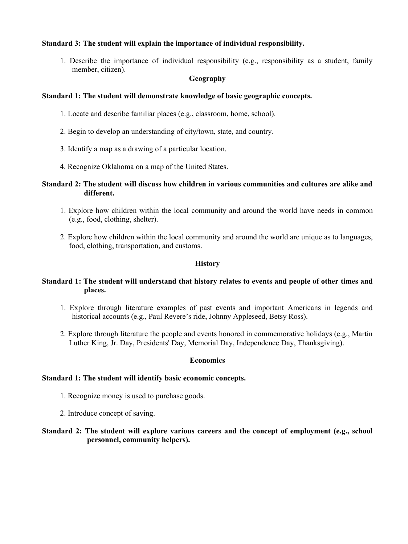# **Standard 3: The student will explain the importance of individual responsibility.**

1. Describe the importance of individual responsibility (e.g., responsibility as a student, family member, citizen).

### **Geography**

#### **Standard 1: The student will demonstrate knowledge of basic geographic concepts.**

- 1. Locate and describe familiar places (e.g., classroom, home, school).
- 2. Begin to develop an understanding of city/town, state, and country.
- 3. Identify a map as a drawing of a particular location.
- 4. Recognize Oklahoma on a map of the United States.

## **Standard 2: The student will discuss how children in various communities and cultures are alike and different.**

- 1. Explore how children within the local community and around the world have needs in common (e.g., food, clothing, shelter).
- 2. Explore how children within the local community and around the world are unique as to languages, food, clothing, transportation, and customs.

# **History**

# **Standard 1: The student will understand that history relates to events and people of other times and places.**

- 1. Explore through literature examples of past events and important Americans in legends and historical accounts (e.g., Paul Revere's ride, Johnny Appleseed, Betsy Ross).
- 2. Explore through literature the people and events honored in commemorative holidays (e.g., Martin Luther King, Jr. Day, Presidents' Day, Memorial Day, Independence Day, Thanksgiving).

### **Economics**

### **Standard 1: The student will identify basic economic concepts.**

- 1. Recognize money is used to purchase goods.
- 2. Introduce concept of saving.

# **Standard 2: The student will explore various careers and the concept of employment (e.g., school personnel, community helpers).**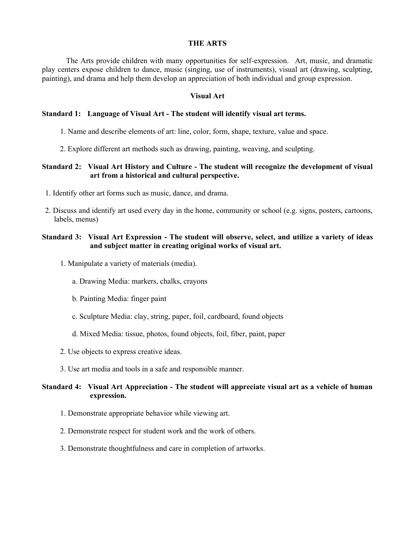#### **THE ARTS**

The Arts provide children with many opportunities for self-expression. Art, music, and dramatic play centers expose children to dance, music (singing, use of instruments), visual art (drawing, sculpting, painting), and drama and help them develop an appreciation of both individual and group expression.

#### **Visual Art**

#### **Standard 1: Language of Visual Art - The student will identify visual art terms.**

- 1. Name and describe elements of art: line, color, form, shape, texture, value and space.
- 2. Explore different art methods such as drawing, painting, weaving, and sculpting.

### **Standard 2: Visual Art History and Culture - The student will recognize the development of visual art from a historical and cultural perspective.**

- 1. Identify other art forms such as music, dance, and drama.
- 2. Discuss and identify art used every day in the home, community or school (e.g. signs, posters, cartoons, labels, menus)

## **Standard 3: Visual Art Expression - The student will observe, select, and utilize a variety of ideas and subject matter in creating original works of visual art.**

- 1. Manipulate a variety of materials (media).
	- a. Drawing Media: markers, chalks, crayons
	- b. Painting Media: finger paint
	- c. Sculpture Media: clay, string, paper, foil, cardboard, found objects
	- d. Mixed Media: tissue, photos, found objects, foil, fiber, paint, paper
- 2. Use objects to express creative ideas.
- 3. Use art media and tools in a safe and responsible manner.

### **Standard 4: Visual Art Appreciation - The student will appreciate visual art as a vehicle of human expression.**

- 1. Demonstrate appropriate behavior while viewing art.
- 2. Demonstrate respect for student work and the work of others.
- 3. Demonstrate thoughtfulness and care in completion of artworks.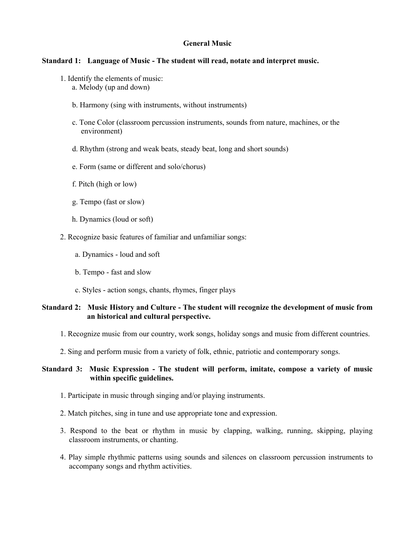# **General Music**

### **Standard 1: Language of Music - The student will read, notate and interpret music.**

- 1. Identify the elements of music: a. Melody (up and down)
	- b. Harmony (sing with instruments, without instruments)
	- c. Tone Color (classroom percussion instruments, sounds from nature, machines, or the environment)
	- d. Rhythm (strong and weak beats, steady beat, long and short sounds)
	- e. Form (same or different and solo/chorus)
	- f. Pitch (high or low)
	- g. Tempo (fast or slow)
	- h. Dynamics (loud or soft)
- 2. Recognize basic features of familiar and unfamiliar songs:
	- a. Dynamics loud and soft
	- b. Tempo fast and slow
	- c. Styles action songs, chants, rhymes, finger plays

# **Standard 2: Music History and Culture - The student will recognize the development of music from an historical and cultural perspective.**

- 1. Recognize music from our country, work songs, holiday songs and music from different countries.
- 2. Sing and perform music from a variety of folk, ethnic, patriotic and contemporary songs.

#### **Standard 3: Music Expression - The student will perform, imitate, compose a variety of music within specific guidelines.**

- 1. Participate in music through singing and/or playing instruments.
- 2. Match pitches, sing in tune and use appropriate tone and expression.
- 3. Respond to the beat or rhythm in music by clapping, walking, running, skipping, playing classroom instruments, or chanting.
- 4. Play simple rhythmic patterns using sounds and silences on classroom percussion instruments to accompany songs and rhythm activities.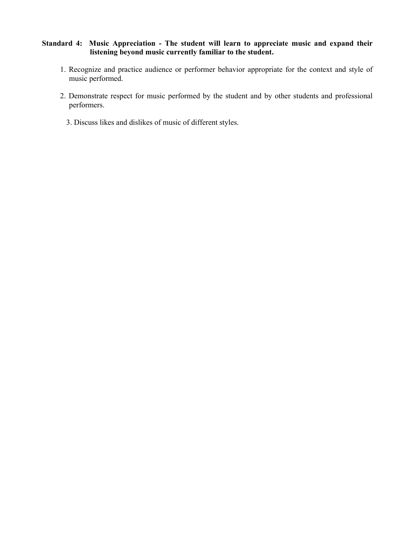# **Standard 4: Music Appreciation - The student will learn to appreciate music and expand their listening beyond music currently familiar to the student.**

- 1. Recognize and practice audience or performer behavior appropriate for the context and style of music performed.
- 2. Demonstrate respect for music performed by the student and by other students and professional performers.
	- 3. Discuss likes and dislikes of music of different styles.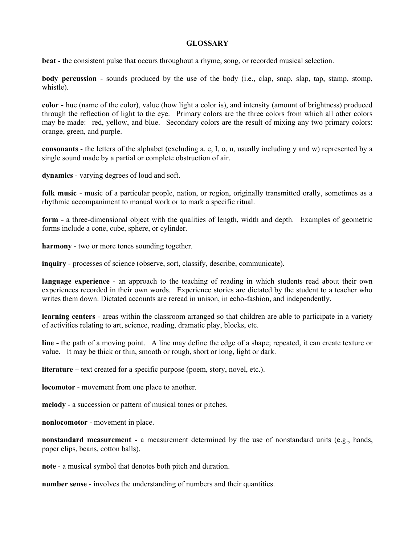# **GLOSSARY**

**beat** - the consistent pulse that occurs throughout a rhyme, song, or recorded musical selection.

**body percussion** - sounds produced by the use of the body (i.e., clap, snap, slap, tap, stamp, stomp, whistle).

**color -** hue (name of the color), value (how light a color is), and intensity (amount of brightness) produced through the reflection of light to the eye. Primary colors are the three colors from which all other colors may be made: red, yellow, and blue. Secondary colors are the result of mixing any two primary colors: orange, green, and purple.

**consonants** - the letters of the alphabet (excluding a, e, I, o, u, usually including y and w) represented by a single sound made by a partial or complete obstruction of air.

**dynamics** - varying degrees of loud and soft.

**folk music** - music of a particular people, nation, or region, originally transmitted orally, sometimes as a rhythmic accompaniment to manual work or to mark a specific ritual.

**form -** a three-dimensional object with the qualities of length, width and depth. Examples of geometric forms include a cone, cube, sphere, or cylinder.

**harmony** - two or more tones sounding together.

**inquiry** - processes of science (observe, sort, classify, describe, communicate).

**language experience** - an approach to the teaching of reading in which students read about their own experiences recorded in their own words. Experience stories are dictated by the student to a teacher who writes them down. Dictated accounts are reread in unison, in echo-fashion, and independently.

**learning centers** - areas within the classroom arranged so that children are able to participate in a variety of activities relating to art, science, reading, dramatic play, blocks, etc.

**line -** the path of a moving point. A line may define the edge of a shape; repeated, it can create texture or value. It may be thick or thin, smooth or rough, short or long, light or dark.

**literature** – text created for a specific purpose (poem, story, novel, etc.).

**locomotor** - movement from one place to another.

**melody** - a succession or pattern of musical tones or pitches.

**nonlocomotor** - movement in place.

**nonstandard measurement** - a measurement determined by the use of nonstandard units (e.g., hands, paper clips, beans, cotton balls).

**note** - a musical symbol that denotes both pitch and duration.

**number sense** - involves the understanding of numbers and their quantities.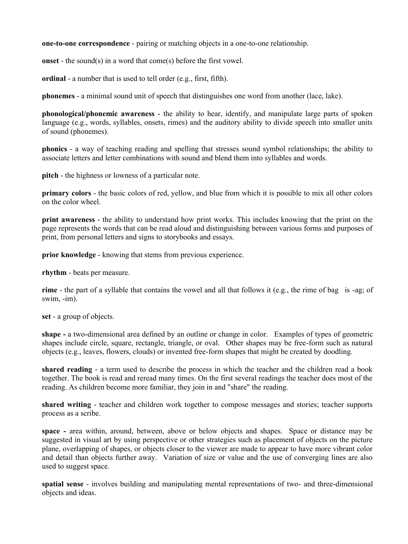**one-to-one correspondence** - pairing or matching objects in a one-to-one relationship.

**onset** - the sound(s) in a word that come(s) before the first vowel.

**ordinal** - a number that is used to tell order (e.g., first, fifth).

**phonemes** - a minimal sound unit of speech that distinguishes one word from another (lace, lake).

**phonological/phonemic awareness** - the ability to hear, identify, and manipulate large parts of spoken language (e.g., words, syllables, onsets, rimes) and the auditory ability to divide speech into smaller units of sound (phonemes).

**phonics** - a way of teaching reading and spelling that stresses sound symbol relationships; the ability to associate letters and letter combinations with sound and blend them into syllables and words.

**pitch** - the highness or lowness of a particular note.

**primary colors** - the basic colors of red, yellow, and blue from which it is possible to mix all other colors on the color wheel.

**print awareness** - the ability to understand how print works. This includes knowing that the print on the page represents the words that can be read aloud and distinguishing between various forms and purposes of print, from personal letters and signs to storybooks and essays.

**prior knowledge** - knowing that stems from previous experience.

**rhythm** - beats per measure.

**rime** - the part of a syllable that contains the vowel and all that follows it (e.g., the rime of bag is -ag; of swim, -im).

**set** - a group of objects.

**shape -** a two-dimensional area defined by an outline or change in color. Examples of types of geometric shapes include circle, square, rectangle, triangle, or oval. Other shapes may be free-form such as natural objects (e.g., leaves, flowers, clouds) or invented free-form shapes that might be created by doodling.

**shared reading** - a term used to describe the process in which the teacher and the children read a book together. The book is read and reread many times. On the first several readings the teacher does most of the reading. As children become more familiar, they join in and "share" the reading.

**shared writing** - teacher and children work together to compose messages and stories; teacher supports process as a scribe.

**space -** area within, around, between, above or below objects and shapes. Space or distance may be suggested in visual art by using perspective or other strategies such as placement of objects on the picture plane, overlapping of shapes, or objects closer to the viewer are made to appear to have more vibrant color and detail than objects further away. Variation of size or value and the use of converging lines are also used to suggest space.

**spatial sense** - involves building and manipulating mental representations of two- and three-dimensional objects and ideas.